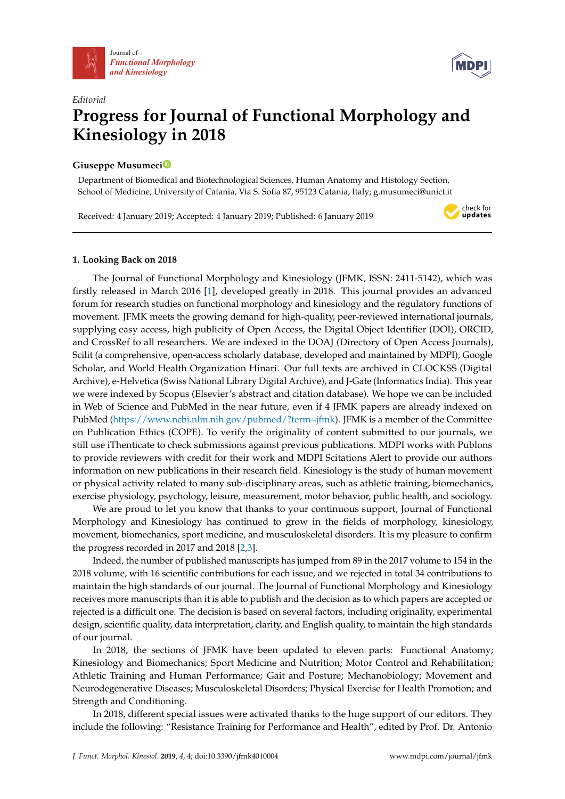



check for updates

# *Editorial* **Progress for Journal of Functional Morphology and Kinesiology in 2018**

## **Giuseppe Musumec[i](https://orcid.org/0000-0002-8260-8890)**

Department of Biomedical and Biotechnological Sciences, Human Anatomy and Histology Section, School of Medicine, University of Catania, Via S. Sofia 87, 95123 Catania, Italy; g.musumeci@unict.it

Received: 4 January 2019; Accepted: 4 January 2019; Published: 6 January 2019

### **1. Looking Back on 2018**

The Journal of Functional Morphology and Kinesiology (JFMK, ISSN: 2411-5142), which was firstly released in March 2016 [\[1\]](#page-2-0), developed greatly in 2018. This journal provides an advanced forum for research studies on functional morphology and kinesiology and the regulatory functions of movement. JFMK meets the growing demand for high-quality, peer-reviewed international journals, supplying easy access, high publicity of Open Access, the Digital Object Identifier (DOI), ORCID, and CrossRef to all researchers. We are indexed in the DOAJ (Directory of Open Access Journals), Scilit (a comprehensive, open-access scholarly database, developed and maintained by MDPI), Google Scholar, and World Health Organization Hinari. Our full texts are archived in CLOCKSS (Digital Archive), e-Helvetica (Swiss National Library Digital Archive), and J-Gate (Informatics India). This year we were indexed by Scopus (Elsevier's abstract and citation database). We hope we can be included in Web of Science and PubMed in the near future, even if 4 JFMK papers are already indexed on PubMed [\(https://www.ncbi.nlm.nih.gov/pubmed/?term=jfmk\)](https://www.ncbi.nlm.nih.gov/pubmed/?term=jfmk). JFMK is a member of the Committee on Publication Ethics (COPE). To verify the originality of content submitted to our journals, we still use iThenticate to check submissions against previous publications. MDPI works with Publons to provide reviewers with credit for their work and MDPI Scitations Alert to provide our authors information on new publications in their research field. Kinesiology is the study of human movement or physical activity related to many sub-disciplinary areas, such as athletic training, biomechanics, exercise physiology, psychology, leisure, measurement, motor behavior, public health, and sociology.

We are proud to let you know that thanks to your continuous support, Journal of Functional Morphology and Kinesiology has continued to grow in the fields of morphology, kinesiology, movement, biomechanics, sport medicine, and musculoskeletal disorders. It is my pleasure to confirm the progress recorded in 2017 and 2018 [\[2](#page-2-1)[,3\]](#page-2-2).

Indeed, the number of published manuscripts has jumped from 89 in the 2017 volume to 154 in the 2018 volume, with 16 scientific contributions for each issue, and we rejected in total 34 contributions to maintain the high standards of our journal. The Journal of Functional Morphology and Kinesiology receives more manuscripts than it is able to publish and the decision as to which papers are accepted or rejected is a difficult one. The decision is based on several factors, including originality, experimental design, scientific quality, data interpretation, clarity, and English quality, to maintain the high standards of our journal.

In 2018, the sections of JFMK have been updated to eleven parts: Functional Anatomy; Kinesiology and Biomechanics; Sport Medicine and Nutrition; Motor Control and Rehabilitation; Athletic Training and Human Performance; Gait and Posture; Mechanobiology; Movement and Neurodegenerative Diseases; Musculoskeletal Disorders; Physical Exercise for Health Promotion; and Strength and Conditioning.

In 2018, different special issues were activated thanks to the huge support of our editors. They include the following: "Resistance Training for Performance and Health", edited by Prof. Dr. Antonio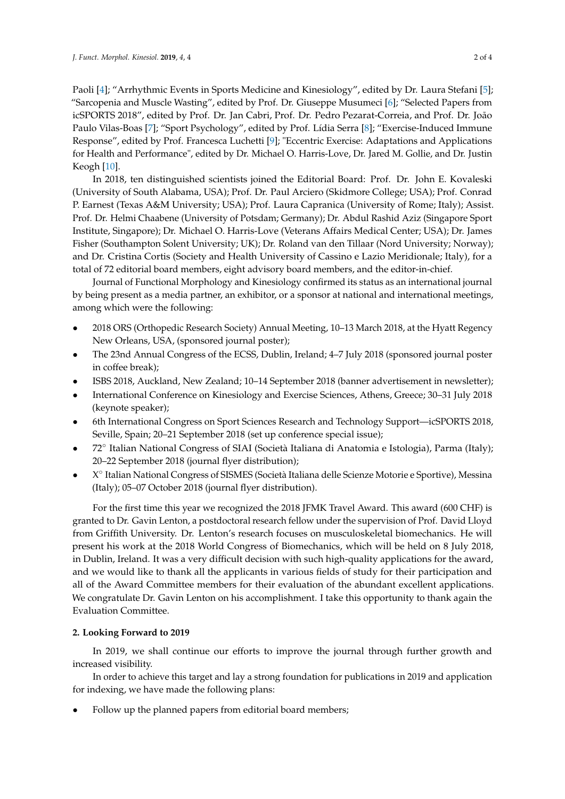Paoli [\[4\]](#page-2-3); "Arrhythmic Events in Sports Medicine and Kinesiology", edited by Dr. Laura Stefani [\[5\]](#page-2-4); "Sarcopenia and Muscle Wasting", edited by Prof. Dr. Giuseppe Musumeci [\[6\]](#page-2-5); "Selected Papers from icSPORTS 2018", edited by Prof. Dr. Jan Cabri, Prof. Dr. Pedro Pezarat-Correia, and Prof. Dr. João Paulo Vilas-Boas [\[7\]](#page-2-6); "Sport Psychology", edited by Prof. Lídia Serra [\[8\]](#page-2-7); "Exercise-Induced Immune Response", edited by Prof. Francesca Luchetti [\[9\]](#page-3-0); "Eccentric Exercise: Adaptations and Applications for Health and Performance", edited by Dr. Michael O. Harris-Love, Dr. Jared M. Gollie, and Dr. Justin Keogh [\[10\]](#page-3-1).

In 2018, ten distinguished scientists joined the Editorial Board: Prof. Dr. John E. Kovaleski (University of South Alabama, USA); Prof. Dr. Paul Arciero (Skidmore College; USA); Prof. Conrad P. Earnest (Texas A&M University; USA); Prof. Laura Capranica (University of Rome; Italy); Assist. Prof. Dr. Helmi Chaabene (University of Potsdam; Germany); Dr. Abdul Rashid Aziz (Singapore Sport Institute, Singapore); Dr. Michael O. Harris-Love (Veterans Affairs Medical Center; USA); Dr. James Fisher (Southampton Solent University; UK); Dr. Roland van den Tillaar (Nord University; Norway); and Dr. Cristina Cortis (Society and Health University of Cassino e Lazio Meridionale; Italy), for a total of 72 editorial board members, eight advisory board members, and the editor-in-chief.

Journal of Functional Morphology and Kinesiology confirmed its status as an international journal by being present as a media partner, an exhibitor, or a sponsor at national and international meetings, among which were the following:

- 2018 ORS (Orthopedic Research Society) Annual Meeting, 10–13 March 2018, at the Hyatt Regency New Orleans, USA, (sponsored journal poster);
- The 23nd Annual Congress of the ECSS, Dublin, Ireland; 4–7 July 2018 (sponsored journal poster in coffee break);
- ISBS 2018, Auckland, New Zealand; 10–14 September 2018 (banner advertisement in newsletter);
- International Conference on Kinesiology and Exercise Sciences, Athens, Greece; 30–31 July 2018 (keynote speaker);
- 6th International Congress on Sport Sciences Research and Technology Support—icSPORTS 2018, Seville, Spain; 20–21 September 2018 (set up conference special issue);
- 72◦ Italian National Congress of SIAI (Società Italiana di Anatomia e Istologia), Parma (Italy); 20–22 September 2018 (journal flyer distribution);
- X° Italian National Congress of SISMES (Società Italiana delle Scienze Motorie e Sportive), Messina (Italy); 05–07 October 2018 (journal flyer distribution).

For the first time this year we recognized the 2018 JFMK Travel Award. This award (600 CHF) is granted to Dr. Gavin Lenton, a postdoctoral research fellow under the supervision of Prof. David Lloyd from Griffith University. Dr. Lenton's research focuses on musculoskeletal biomechanics. He will present his work at the 2018 World Congress of Biomechanics, which will be held on 8 July 2018, in Dublin, Ireland. It was a very difficult decision with such high-quality applications for the award, and we would like to thank all the applicants in various fields of study for their participation and all of the Award Committee members for their evaluation of the abundant excellent applications. We congratulate Dr. Gavin Lenton on his accomplishment. I take this opportunity to thank again the Evaluation Committee.

### **2. Looking Forward to 2019**

In 2019, we shall continue our efforts to improve the journal through further growth and increased visibility.

In order to achieve this target and lay a strong foundation for publications in 2019 and application for indexing, we have made the following plans:

Follow up the planned papers from editorial board members;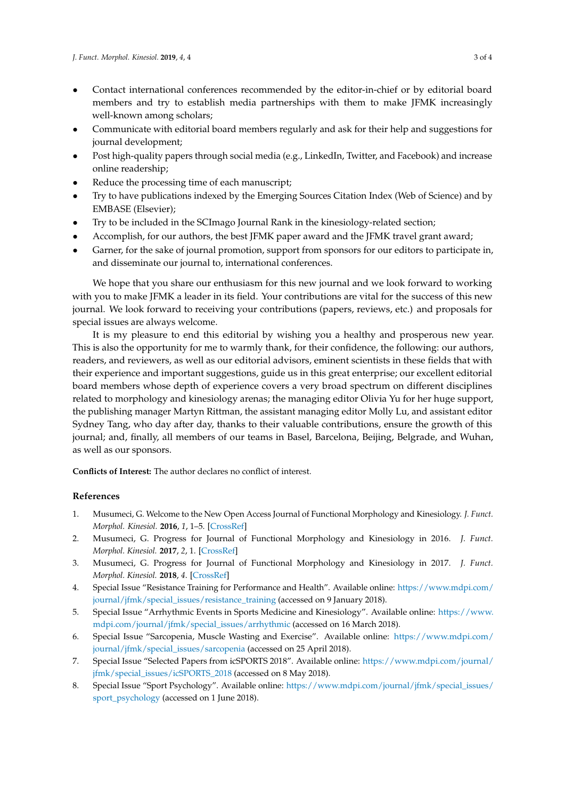- Contact international conferences recommended by the editor-in-chief or by editorial board members and try to establish media partnerships with them to make JFMK increasingly well-known among scholars;
- Communicate with editorial board members regularly and ask for their help and suggestions for journal development;
- Post high-quality papers through social media (e.g., LinkedIn, Twitter, and Facebook) and increase online readership;
- Reduce the processing time of each manuscript;
- Try to have publications indexed by the Emerging Sources Citation Index (Web of Science) and by EMBASE (Elsevier);
- Try to be included in the SCImago Journal Rank in the kinesiology-related section;
- Accomplish, for our authors, the best JFMK paper award and the JFMK travel grant award;
- Garner, for the sake of journal promotion, support from sponsors for our editors to participate in, and disseminate our journal to, international conferences.

We hope that you share our enthusiasm for this new journal and we look forward to working with you to make JFMK a leader in its field. Your contributions are vital for the success of this new journal. We look forward to receiving your contributions (papers, reviews, etc.) and proposals for special issues are always welcome.

It is my pleasure to end this editorial by wishing you a healthy and prosperous new year. This is also the opportunity for me to warmly thank, for their confidence, the following: our authors, readers, and reviewers, as well as our editorial advisors, eminent scientists in these fields that with their experience and important suggestions, guide us in this great enterprise; our excellent editorial board members whose depth of experience covers a very broad spectrum on different disciplines related to morphology and kinesiology arenas; the managing editor Olivia Yu for her huge support, the publishing manager Martyn Rittman, the assistant managing editor Molly Lu, and assistant editor Sydney Tang, who day after day, thanks to their valuable contributions, ensure the growth of this journal; and, finally, all members of our teams in Basel, Barcelona, Beijing, Belgrade, and Wuhan, as well as our sponsors.

**Conflicts of Interest:** The author declares no conflict of interest.

#### **References**

- <span id="page-2-0"></span>1. Musumeci, G. Welcome to the New Open Access Journal of Functional Morphology and Kinesiology. *J. Funct. Morphol. Kinesiol.* **2016**, *1*, 1–5. [\[CrossRef\]](http://dx.doi.org/10.3390/jfmk1010001)
- <span id="page-2-1"></span>2. Musumeci, G. Progress for Journal of Functional Morphology and Kinesiology in 2016. *J. Funct. Morphol. Kinesiol.* **2017**, *2*, 1. [\[CrossRef\]](http://dx.doi.org/10.3390/jfmk2010001)
- <span id="page-2-2"></span>3. Musumeci, G. Progress for Journal of Functional Morphology and Kinesiology in 2017. *J. Funct. Morphol. Kinesiol.* **2018**, *4*. [\[CrossRef\]](http://dx.doi.org/10.3390/jfmk3010004)
- <span id="page-2-3"></span>4. Special Issue "Resistance Training for Performance and Health". Available online: [https://www.mdpi.com/](https://www.mdpi.com/journal/jfmk/special_issues/resistance_training) [journal/jfmk/special\\_issues/resistance\\_training](https://www.mdpi.com/journal/jfmk/special_issues/resistance_training) (accessed on 9 January 2018).
- <span id="page-2-4"></span>5. Special Issue "Arrhythmic Events in Sports Medicine and Kinesiology". Available online: [https://www.](https://www.mdpi.com/journal/jfmk/special_issues/arrhythmic) [mdpi.com/journal/jfmk/special\\_issues/arrhythmic](https://www.mdpi.com/journal/jfmk/special_issues/arrhythmic) (accessed on 16 March 2018).
- <span id="page-2-5"></span>6. Special Issue "Sarcopenia, Muscle Wasting and Exercise". Available online: [https://www.mdpi.com/](https://www.mdpi.com/journal/jfmk/special_issues/sarcopenia) [journal/jfmk/special\\_issues/sarcopenia](https://www.mdpi.com/journal/jfmk/special_issues/sarcopenia) (accessed on 25 April 2018).
- <span id="page-2-6"></span>7. Special Issue "Selected Papers from icSPORTS 2018". Available online: [https://www.mdpi.com/journal/](https://www.mdpi.com/journal/jfmk/special_issues/icSPORTS_2018) [jfmk/special\\_issues/icSPORTS\\_2018](https://www.mdpi.com/journal/jfmk/special_issues/icSPORTS_2018) (accessed on 8 May 2018).
- <span id="page-2-7"></span>8. Special Issue "Sport Psychology". Available online: [https://www.mdpi.com/journal/jfmk/special\\_issues/](https://www.mdpi.com/journal/jfmk/special_issues/sport_psychology) [sport\\_psychology](https://www.mdpi.com/journal/jfmk/special_issues/sport_psychology) (accessed on 1 June 2018).